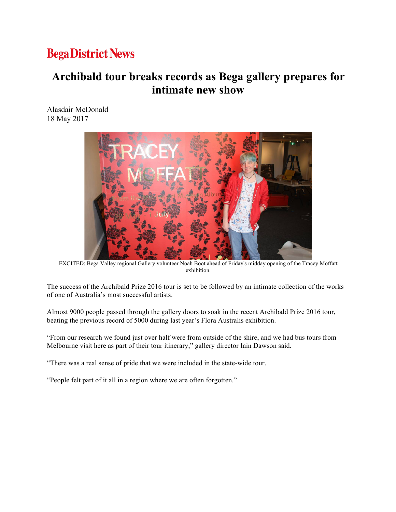## **Bega District News**

## **Archibald tour breaks records as Bega gallery prepares for intimate new show**

Alasdair McDonald 18 May 2017



EXCITED: Bega Valley regional Gallery volunteer Noah Boot ahead of Friday's midday opening of the Tracey Moffatt exhibition.

The success of the Archibald Prize 2016 tour is set to be followed by an intimate collection of the works of one of Australia's most successful artists.

Almost 9000 people passed through the gallery doors to soak in the recent Archibald Prize 2016 tour, beating the previous record of 5000 during last year's Flora Australis exhibition.

"From our research we found just over half were from outside of the shire, and we had bus tours from Melbourne visit here as part of their tour itinerary," gallery director Iain Dawson said.

"There was a real sense of pride that we were included in the state-wide tour.

"People felt part of it all in a region where we are often forgotten."